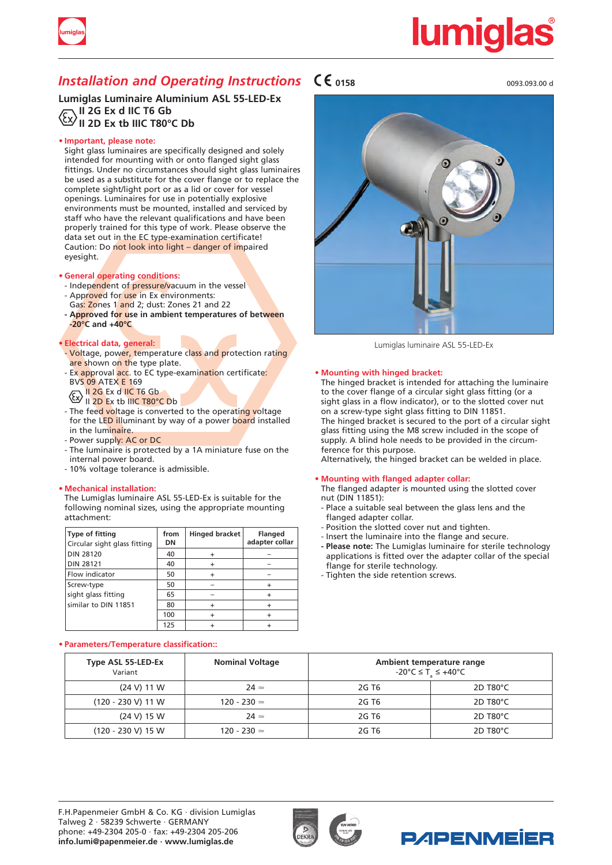

# **lumigla**

### *Installation and Operating Instructions*  $\mathsf{C}\mathsf{C}$ <sub>0158</sub>

**Lumiglas Luminaire Aluminium ASL 55-LED-Ex II 2G Ex d IIC T6 Gb II 2D Ex tb IIIC T80°C Db**

#### **• Important, please note:**

Sight glass luminaires are specifically designed and solely intended for mounting with or onto flanged sight glass fittings. Under no circumstances should sight glass luminaires be used as a substitute for the cover flange or to replace the complete sight/light port or as a lid or cover for vessel openings. Luminaires for use in potentially explosive environments must be mounted, installed and serviced by staff who have the relevant qualifications and have been properly trained for this type of work. Please observe the data set out in the EC type-examination certificate! Caution: Do not look into light – danger of impaired eyesight.

#### **• General operating conditions:**

- Independent of pressure/vacuum in the vessel
- Approved for use in Ex environments:
- Gas: Zones 1 and 2; dust: Zones 21 and 22
- **- Approved for use in ambient temperatures of between -20°C and +40°C**

#### **• Electrical data, general:**

- Voltage, power, temperature class and protection rating are shown on the type plate.
- Ex approval <mark>acc</mark>. to EC type-exami<mark>natio</mark>n certificate<mark>:</mark> BVS 09 ATEX E 169  $\sqrt{C}$  II 2G Ex d IIC T6 Gb
- II 2D Ex tb IIIC T80°C Db
- The feed voltage is converted to the operating voltage for the LED illuminant by way of a power board installed in the luminaire.
- Power supply: AC or DC
- The luminaire is protected by a 1A miniature fuse on the internal power board.
- 10% voltage tolerance is admissible.

#### **• Mechanical installation:**

The Lumiglas luminaire ASL 55-LED-Ex is suitable for the following nominal sizes, using the appropriate mounting attachment:

| <b>Type of fitting</b><br>Circular sight glass fitting | from<br>DN | Hinged bracket | <b>Flanged</b><br>adapter collar |
|--------------------------------------------------------|------------|----------------|----------------------------------|
| <b>DIN 28120</b>                                       | 40         |                |                                  |
| <b>DIN 28121</b>                                       | 40         |                |                                  |
| Flow indicator                                         | 50         |                |                                  |
| Screw-type                                             | 50         |                |                                  |
| sight glass fitting                                    | 65         |                |                                  |
| similar to DIN 11851                                   | 80         |                |                                  |
|                                                        | 100        |                |                                  |
|                                                        | 125        |                |                                  |

#### **• Parameters/Temperature classification::**

0093.093.00 d



Lumiglas luminaire ASL 55-LED-Ex

#### **• Mounting with hinged bracket:**

The hinged bracket is intended for attaching the luminaire to the cover flange of a circular sight glass fitting (or a sight glass in a flow indicator), or to the slotted cover nut on a screw-type sight glass fitting to DIN 11851. The hinged bracket is secured to the port of a circular sight glass fitting using the M8 screw included in the scope of supply. A blind hole needs to be provided in the circumference for this purpose.

Alternatively, the hinged bracket can be welded in place.

#### **• Mounting with flanged adapter collar:**

The flanged adapter is mounted using the slotted cover nut (DIN 11851):

- Place a suitable seal between the glass lens and the flanged adapter collar.
- Position the slotted cover nut and tighten.
- Insert the luminaire into the flange and secure.
- Please note: The Lumiglas luminaire for sterile technology applications is fitted over the adapter collar of the special flange for sterile technology.
- Tighten the side retention screws.

| Type ASL 55-LED-Ex<br>Variant | <b>Nominal Voltage</b> | Ambient temperature range<br>-20°C ≤ T ≤ +40°C |                       |
|-------------------------------|------------------------|------------------------------------------------|-----------------------|
| $(24 V)$ 11 W                 | $24 \simeq$            | 2G T6                                          | $2D$ T80 $^{\circ}$ C |
| $(120 - 230 V)$ 11 W          | $120 - 230 =$          | 2G T <sub>6</sub>                              | $2D$ T80 $^{\circ}$ C |
| (24 V) 15 W                   | $24 \simeq$            | 2G T <sub>6</sub>                              | 2D T <sub>80</sub> °C |
| $(120 - 230 V)$ 15 W          | $120 - 230 =$          | 2G T <sub>6</sub>                              | 2D T <sub>80</sub> °C |